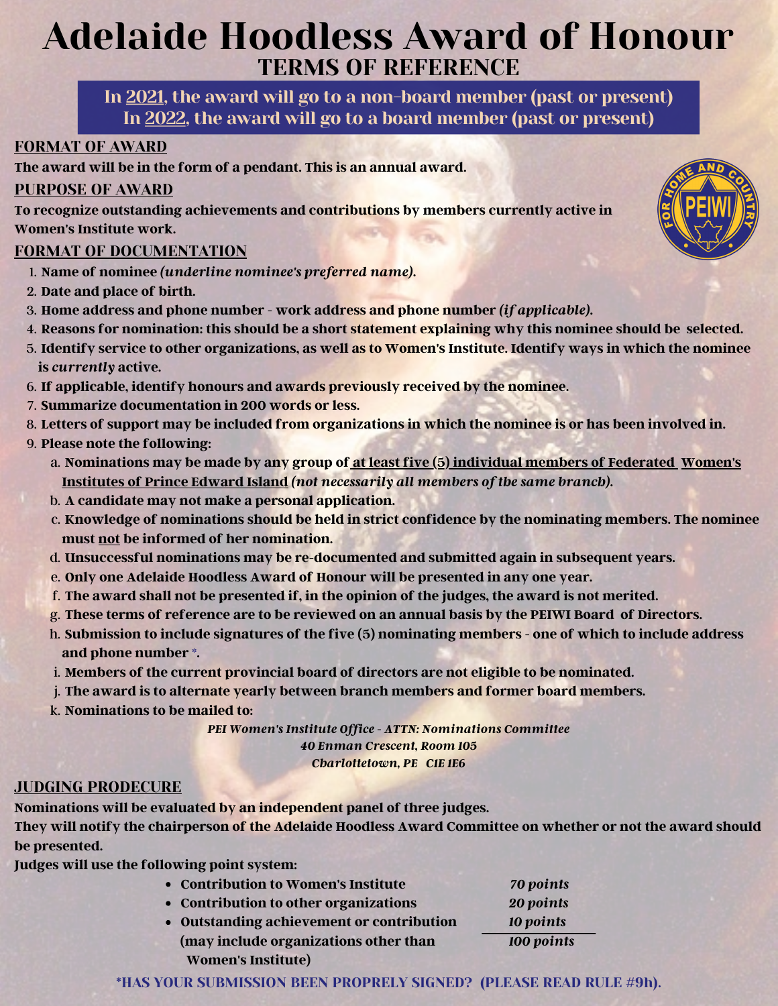# Adelaide Hoodless Award of Honour TERMS OF REFERENCE

In 2021, the award will go to a non-board member (past or present) In 2022, the award will go to a board member (past or present)

## FORMAT OF AWARD

**The award will be in the form of a pendant. This is an annual award.**

### PURPOSE OF AWARD

**To recognize outstanding achievements and contributions by members currently active in Women's Institute work.**

# FORMAT OF DOCUMENTATION

- **Name of nominee** *(underline nominee's preferred name)***.** 1.
- **Date and place of birth.** 2.
- **Home address and phone number - work address and phone number** *(if applicable)***.** 3.
- **Reasons for nomination: this should be a short statement explaining why this nominee should be selected.** 4.
- 5. Identify service to other organizations, as well as to Women's Institute. Identify ways in which the nominee **is** *currently* **active.**
- **If applicable, identify honours and awards previously received by the nominee.** 6.
- **Summarize documentation in 200 words or less.** 7.
- 8. Letters of support may be included from organizations in which the nominee is or has been involved in.
- **Please note the following:** 9.
	- **Nominations may be made by any group of at least five (5) individual members of Federated Women's** a. **Institutes of Prince Edward Island** *(not necessarily all members of the same branch)***.**
	- **A candidate may not make a personal application.** b.
	- **Knowledge of nominations should be held in strict confidence by the nominating members. The nominee** c. **must not be informed of her nomination.**
	- **Unsuccessful nominations may be re-documented and submitted again in subsequent years.** d.
	- **Only one Adelaide Hoodless Award of Honour will be presented in any one year.** e.
	- **The award shall not be presented if, in the opinion of the judges, the award is not merited.** f.
	- **These terms of reference are to be reviewed on an annual basis by the PEIWI Board of Directors.** g.
	- **Submission to include signatures of the five (5) nominating members - one of which to include address** h. **and phone number \*.**
	- **Members of the current provincial board of directors are not eligible to be nominated.** i.
	- **The award is to alternate yearly between branch members and former board members.** j.
	- **Nominations to be mailed to:** k.

*PEI Women's Institute Office - ATTN: Nominations Committee*

*40 Enman Crescent, Room 105 Charlottetown, PE C1E 1E6*

#### JUDGING PRODECURE

**Nominations will be evaluated by an independent panel of three judges.**

They will notify the chairperson of the Adelaide Hoodless Award Committee on whether or not the award should **be presented.**

**Judges will use the following point system:**

- **Contribution to Women's Institute** *70 points*
- **Contribution to other organizations** *20 points*
- **Outstanding achievement or contribution** *10 points* **(may include organizations other than** *100 points* **Women's Institute)**



\*HAS YOUR SUBMISSION BEEN PROPRELY SIGNED? (PLEASE READ RULE #9h).